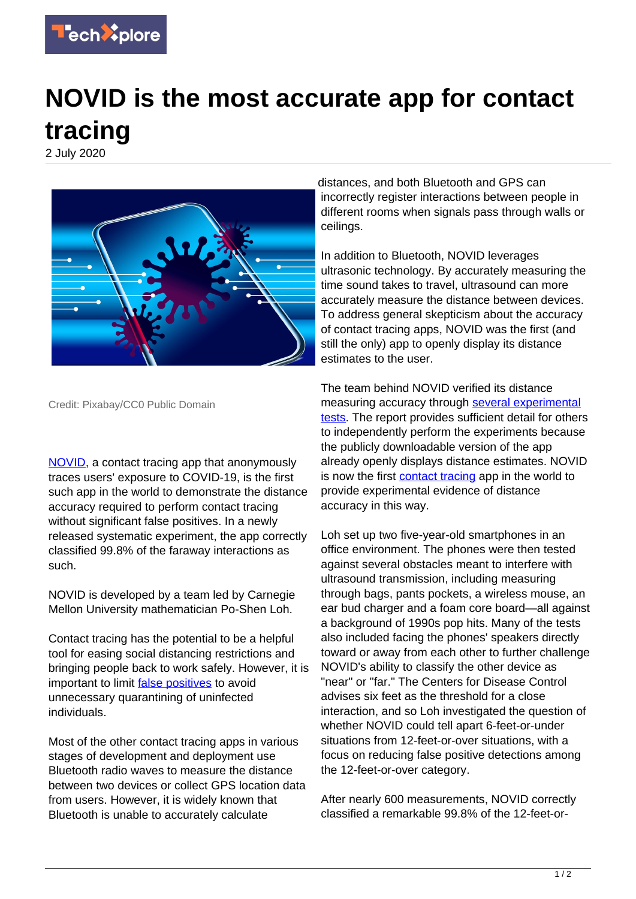

## **NOVID is the most accurate app for contact tracing**

2 July 2020



Credit: Pixabay/CC0 Public Domain

[NOVID](https://www.novid.org/), a contact tracing app that anonymously traces users' exposure to COVID-19, is the first such app in the world to demonstrate the distance accuracy required to perform contact tracing without significant false positives. In a newly released systematic experiment, the app correctly classified 99.8% of the faraway interactions as such.

NOVID is developed by a team led by Carnegie Mellon University mathematician Po-Shen Loh.

Contact tracing has the potential to be a helpful tool for easing social distancing restrictions and bringing people back to work safely. However, it is important to limit **false positives** to avoid unnecessary quarantining of uninfected individuals.

Most of the other contact tracing apps in various stages of development and deployment use Bluetooth radio waves to measure the distance between two devices or collect GPS location data from users. However, it is widely known that Bluetooth is unable to accurately calculate

distances, and both Bluetooth and GPS can incorrectly register interactions between people in different rooms when signals pass through walls or ceilings.

In addition to Bluetooth, NOVID leverages ultrasonic technology. By accurately measuring the time sound takes to travel, ultrasound can more accurately measure the distance between devices. To address general skepticism about the accuracy of contact tracing apps, NOVID was the first (and still the only) app to openly display its distance estimates to the user.

The team behind NOVID verified its distance measuring accuracy through [several experimental](https://www.novid.org/downloads/20200625-accuracy.pdf) [tests.](https://www.novid.org/downloads/20200625-accuracy.pdf) The report provides sufficient detail for others to independently perform the experiments because the publicly downloadable version of the app already openly displays distance estimates. NOVID is now the first [contact tracing](https://techxplore.com/tags/contact+tracing/) app in the world to provide experimental evidence of distance accuracy in this way.

Loh set up two five-year-old smartphones in an office environment. The phones were then tested against several obstacles meant to interfere with ultrasound transmission, including measuring through bags, pants pockets, a wireless mouse, an ear bud charger and a foam core board—all against a background of 1990s pop hits. Many of the tests also included facing the phones' speakers directly toward or away from each other to further challenge NOVID's ability to classify the other device as "near" or "far." The Centers for Disease Control advises six feet as the threshold for a close interaction, and so Loh investigated the question of whether NOVID could tell apart 6-feet-or-under situations from 12-feet-or-over situations, with a focus on reducing false positive detections among the 12-feet-or-over category.

After nearly 600 measurements, NOVID correctly classified a remarkable 99.8% of the 12-feet-or-